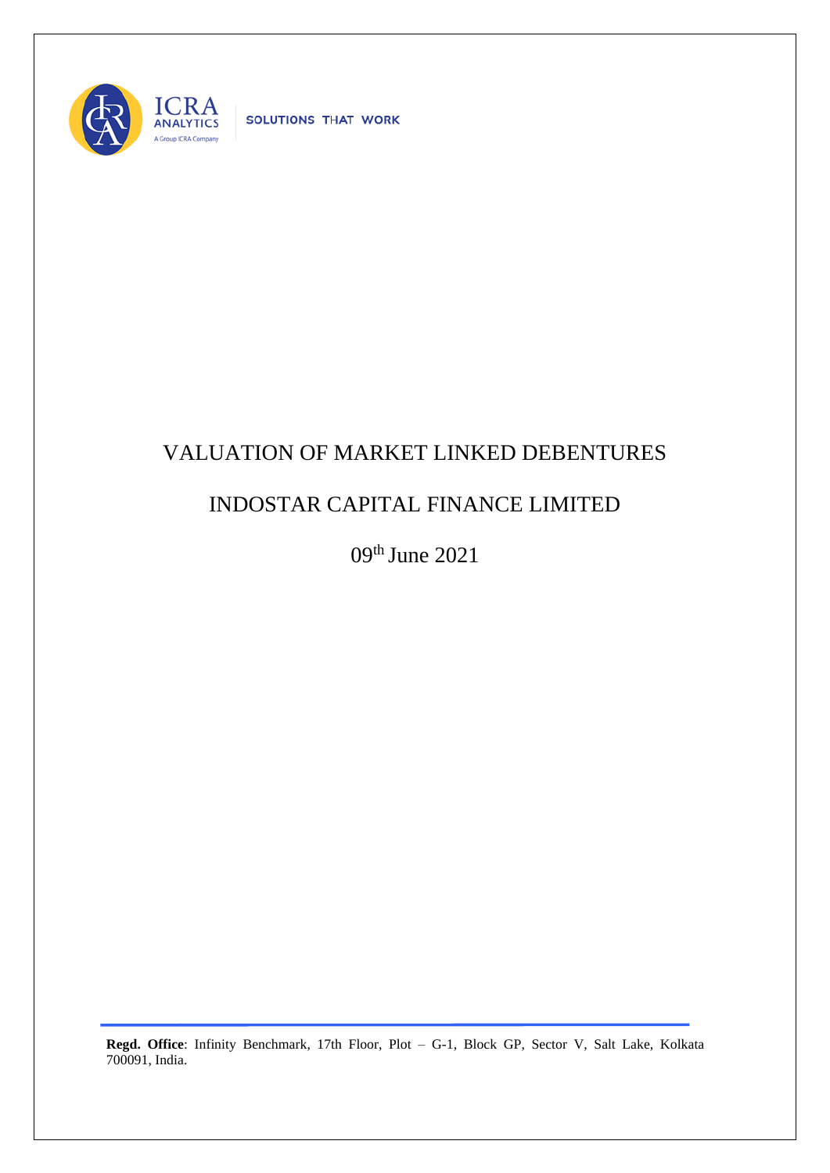

SOLUTIONS THAT WORK

## VALUATION OF MARKET LINKED DEBENTURES

## INDOSTAR CAPITAL FINANCE LIMITED

09th June 2021

**Regd. Office**: Infinity Benchmark, 17th Floor, Plot – G-1, Block GP, Sector V, Salt Lake, Kolkata 700091, India.